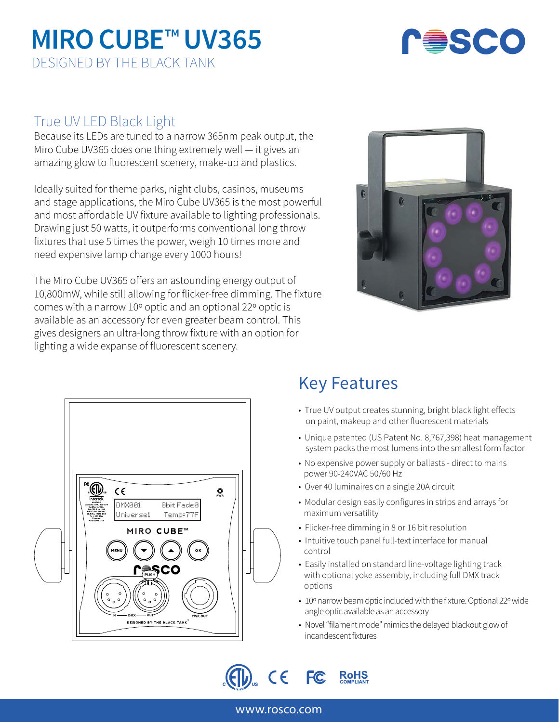## **MIRO CUBE**™ **UV365** DESIGNED BY THE BLACK TANK



### True UV LED Black Light

Because its LEDs are tuned to a narrow 365nm peak output, the Miro Cube UV365 does one thing extremely well — it gives an amazing glow to fluorescent scenery, make-up and plastics.

Ideally suited for theme parks, night clubs, casinos, museums and stage applications, the Miro Cube UV365 is the most powerful and most affordable UV fixture available to lighting professionals. Drawing just 50 watts, it outperforms conventional long throw fixtures that use 5 times the power, weigh 10 times more and need expensive lamp change every 1000 hours!

The Miro Cube UV365 offers an astounding energy output of 10,800mW, while still allowing for flicker-free dimming. The fixture comes with a narrow 10º optic and an optional 22º optic is available as an accessory for even greater beam control. This gives designers an ultra-long throw fixture with an option for lighting a wide expanse of fluorescent scenery.





### Key Features

- True UV output creates stunning, bright black light effects on paint, makeup and other fluorescent materials
- Unique patented (US Patent No. 8,767,398) heat management system packs the most lumens into the smallest form factor
- No expensive power supply or ballasts direct to mains power 90-240VAC 50/60 Hz
- Over 40 luminaires on a single 20A circuit
- Modular design easily configures in strips and arrays for maximum versatility
- Flicker-free dimming in 8 or 16 bit resolution
- Intuitive touch panel full-text interface for manual control
- Easily installed on standard line-voltage lighting track with optional yoke assembly, including full DMX track options
- 10º narrow beam optic included with the fixture. Optional 22º wide angle optic available as an accessory
- Novel "filament mode" mimics the delayed blackout glow of incandescent fixtures



### www.rosco.com